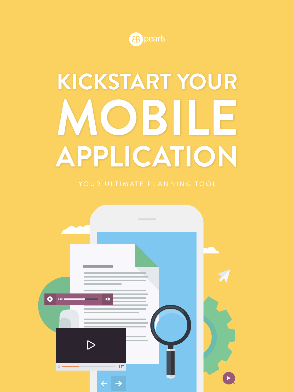

# **KICKSTART YOUR MOBILE APPLICATION**

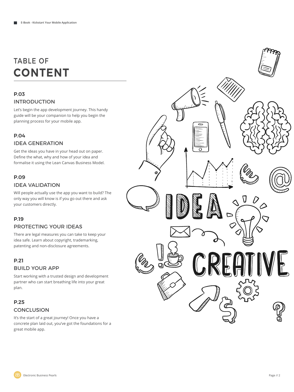### TABLE OF **CONTENT**

#### **P.03**

#### INTRODUCTION

Let's begin the app development journey. This handy guide will be your companion to help you begin the planning process for your mobile app.

#### **P.04**

#### IDEA GENERATION

Get the ideas you have in your head out on paper. Define the what, why and how of your idea and formalise it using the Lean Canvas Business Model.

#### **P.09**

#### IDEA VALIDATION

Will people actually use the app you want to build? The only way you will know is if you go out there and ask your customers directly.

#### **P.19**

#### PROTECTING YOUR IDEAS

There are legal measures you can take to keep your idea safe. Learn about copyright, trademarking, patenting and non-disclosure agreements.

#### **P.21** BUILD YOUR APP

Start working with a trusted design and development partner who can start breathing life into your great plan.

#### **P.25 CONCLUSION**

It's the start of a great journey! Once you have a concrete plan laid out, you've got the foundations for a great mobile app.

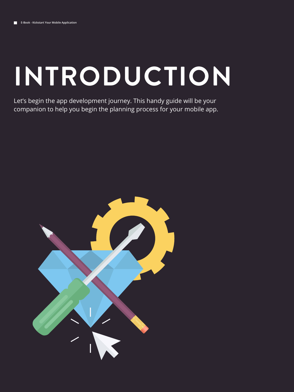# **INTRODUCTION**

Let's begin the app development journey. This handy guide will be your companion to help you begin the planning process for your mobile app.

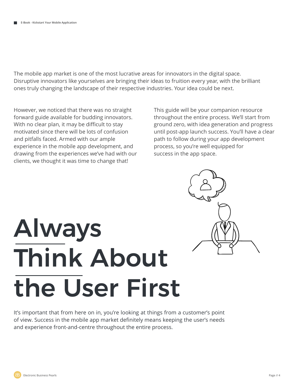The mobile app market is one of the most lucrative areas for innovators in the digital space. Disruptive innovators like yourselves are bringing their ideas to fruition every year, with the brilliant ones truly changing the landscape of their respective industries. Your idea could be next.

However, we noticed that there was no straight forward guide available for budding innovators. With no clear plan, it may be difficult to stay motivated since there will be lots of confusion and pitfalls faced. Armed with our ample experience in the mobile app development, and drawing from the experiences we've had with our clients, we thought it was time to change that!

This guide will be your companion resource throughout the entire process. We'll start from ground zero, with idea generation and progress until post-app launch success. You'll have a clear path to follow during your app development process, so you're well equipped for success in the app space.

# Always Think About the User First

It's important that from here on in, you're looking at things from a customer's point of view. Success in the mobile app market definitely means keeping the user's needs and experience front-and-centre throughout the entire process.

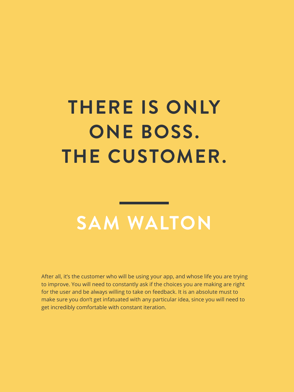# **THERE IS ONLY ONE BOSS. THE CUSTOMER.**

### **SAM WALTON**

After all, it's the customer who will be using your app, and whose life you are trying to improve. You will need to constantly ask if the choices you are making are right for the user and be always willing to take on feedback. It is an absolute must to make sure you don't get infatuated with any particular idea, since you will need to get incredibly comfortable with constant iteration.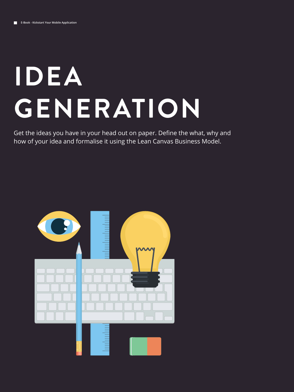# **IDEA GENERATION**

Get the ideas you have in your head out on paper. Define the what, why and how of your idea and formalise it using the Lean Canvas Business Model.

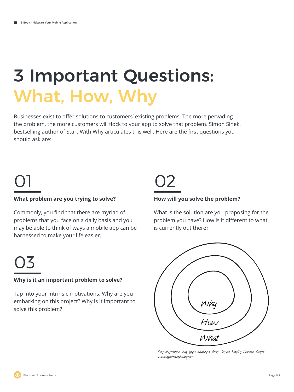## 3 Important Questions: What, How, Why

Businesses exist to offer solutions to customers' existing problems. The more pervading the problem, the more customers will flock to your app to solve that problem. Simon Sinek, bestselling author of Start With Why articulates this well. Here are the first questions you should ask are:

### 01

#### **What problem are you trying to solve?**

Commonly, you find that there are myriad of problems that you face on a daily basis and you may be able to think of ways a mobile app can be harnessed to make your life easier.

### 02

#### **How will you solve the problem?**

What is the solution are you proposing for the problem you have? How is it different to what is currently out there?



This illustration has been adapted from Simon Sinek's Golden Circle www.startwithwhy.com

### 03

#### **Why is it an important problem to solve?**

Tap into your intrinsic motivations. Why are you embarking on this project? Why is it important to solve this problem?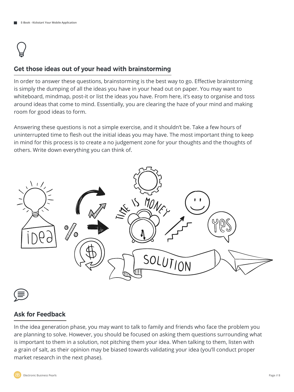### $\bigcirc$

#### **Get those ideas out of your head with brainstorming**

In order to answer these questions, brainstorming is the best way to go. Effective brainstorming is simply the dumping of all the ideas you have in your head out on paper. You may want to whiteboard, mindmap, post-it or list the ideas you have. From here, it's easy to organise and toss around ideas that come to mind. Essentially, you are clearing the haze of your mind and making room for good ideas to form.

Answering these questions is not a simple exercise, and it shouldn't be. Take a few hours of uninterrupted time to flesh out the initial ideas you may have. The most important thing to keep in mind for this process is to create a no judgement zone for your thoughts and the thoughts of others. Write down everything you can think of.





#### **Ask for Feedback**

In the idea generation phase, you may want to talk to family and friends who face the problem you are planning to solve. However, you should be focused on asking them questions surrounding what is important to them in a solution, not pitching them your idea. When talking to them, listen with a grain of salt, as their opinion may be biased towards validating your idea (you'll conduct proper market research in the next phase).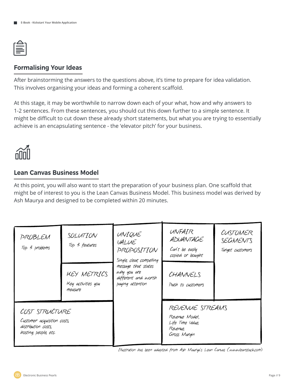#### **Formalising Your Ideas**

After brainstorming the answers to the questions above, it's time to prepare for idea validation. This involves organising your ideas and forming a coherent scaffold.

At this stage, it may be worthwhile to narrow down each of your what, how and why answers to 1-2 sentences. From these sentences, you should cut this down further to a simple sentence. It might be difficult to cut down these already short statements, but what you are trying to essentially achieve is an encapsulating sentence - the 'elevator pitch' for your business.



#### **Lean Canvas Business Model**

At this point, you will also want to start the preparation of your business plan. One scaffold that might be of interest to you is the Lean Canvas Business Model. This business model was derived by Ash Maurya and designed to be completed within 20 minutes.

| PROBLEM<br>Top 3 problems                                                                     | SOLUTION<br>Top 3 features<br>KEY METRICS<br>Key activities you<br>measure | UNIQUE<br>VALUE<br>PROPOSITION<br>Single, clear, compelling<br>message that states<br>why you are<br>different and worth<br>paying attention | UNFAIR<br>ADVANTAGE<br>Can't be easily<br>copied or bought<br>CHANNELS<br>Path to customers | CUSTOMER<br>SEGMENTS<br>Target customers |
|-----------------------------------------------------------------------------------------------|----------------------------------------------------------------------------|----------------------------------------------------------------------------------------------------------------------------------------------|---------------------------------------------------------------------------------------------|------------------------------------------|
| COST STRUCTURE<br>Customer acquisition costs,<br>distribution costs,<br>hosting, people, etc. |                                                                            |                                                                                                                                              | REVENUE STREAMS<br>Revenue Model,<br>Life Time Value,<br>Revenue,<br>Gross Margin           |                                          |

Illustration has been adapted from Ash Maurya's Lean Canvas (www.leanstack.com)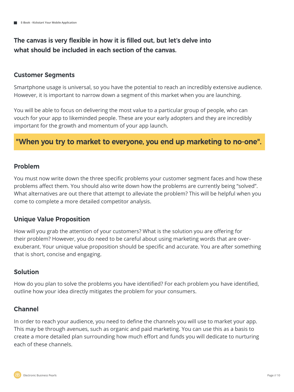#### **The canvas is very flexible in how it is filled out, but let's delve into what should be included in each section of the canvas.**

#### **Customer Segments**

Smartphone usage is universal, so you have the potential to reach an incredibly extensive audience. However, it is important to narrow down a segment of this market when you are launching.

You will be able to focus on delivering the most value to a particular group of people, who can vouch for your app to likeminded people. These are your early adopters and they are incredibly important for the growth and momentum of your app launch.

#### **"When you try to market to everyone, you end up marketing to no-one".**

#### **Problem**

You must now write down the three specific problems your customer segment faces and how these problems affect them. You should also write down how the problems are currently being "solved". What alternatives are out there that attempt to alleviate the problem? This will be helpful when you come to complete a more detailed competitor analysis.

#### **Unique Value Proposition**

How will you grab the attention of your customers? What is the solution you are offering for their problem? However, you do need to be careful about using marketing words that are overexuberant. Your unique value proposition should be specific and accurate. You are after something that is short, concise and engaging.

#### **Solution**

How do you plan to solve the problems you have identified? For each problem you have identified, outline how your idea directly mitigates the problem for your consumers.

#### **Channel**

In order to reach your audience, you need to define the channels you will use to market your app. This may be through avenues, such as organic and paid marketing. You can use this as a basis to create a more detailed plan surrounding how much effort and funds you will dedicate to nurturing each of these channels.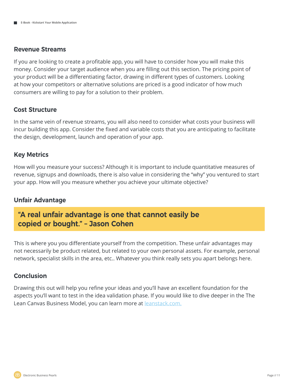#### **Revenue Streams**

If you are looking to create a profitable app, you will have to consider how you will make this money. Consider your target audience when you are filling out this section. The pricing point of your product will be a differentiating factor, drawing in different types of customers. Looking at how your competitors or alternative solutions are priced is a good indicator of how much consumers are willing to pay for a solution to their problem.

#### **Cost Structure**

In the same vein of revenue streams, you will also need to consider what costs your business will incur building this app. Consider the fixed and variable costs that you are anticipating to facilitate the design, development, launch and operation of your app.

#### **Key Metrics**

How will you measure your success? Although it is important to include quantitative measures of revenue, signups and downloads, there is also value in considering the "why" you ventured to start your app. How will you measure whether you achieve your ultimate objective?

#### **Unfair Advantage**

#### **"A real unfair advantage is one that cannot easily be copied or bought." – Jason Cohen**

This is where you you differentiate yourself from the competition. These unfair advantages may not necessarily be product related, but related to your own personal assets. For example, personal network, specialist skills in the area, etc.. Whatever you think really sets you apart belongs here.

#### **Conclusion**

Drawing this out will help you refine your ideas and you'll have an excellent foundation for the aspects you'll want to test in the idea validation phase. If you would like to dive deeper in the The Lean Canvas Business Model, you can learn more at **leanstack.com**.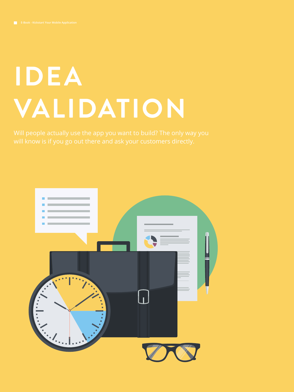# **IDEA VALIDATION**

will know is if you go out there and ask your customers directly.

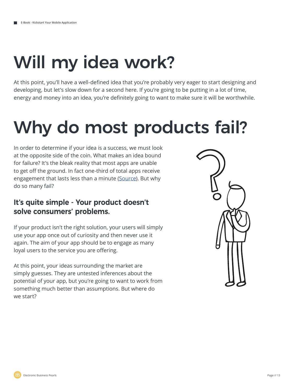## Will my idea work?

At this point, you'll have a well-defined idea that you're probably very eager to start designing and developing, but let's slow down for a second here. If you're going to be putting in a lot of time, energy and money into an idea, you're definitely going to want to make sure it will be worthwhile.

## Why do most products fail?

In order to determine if your idea is a success, we must look at the opposite side of the coin. What makes an idea bound for failure? It's the bleak reality that most apps are unable to get off the ground. In fact one-third of total apps receive engagement that lasts less than a minute (Source). But why do so many fail?

#### **It's quite simple - Your product doesn't solve consumers' problems.**

If your product isn't the right solution, your users will simply use your app once out of curiosity and then never use it again. The aim of your app should be to engage as many loyal users to the service you are offering.

At this point, your ideas surrounding the market are simply guesses. They are untested inferences about the potential of your app, but you're going to want to work from something much better than assumptions. But where do we start?



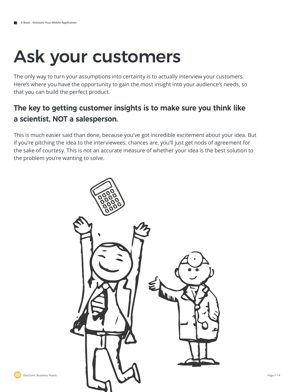## Ask your customers

The only way to turn your assumptions into certainty is to actually interview your customers. Here's where you have the opportunity to gain the most insight into your audience's needs, so that you can build the perfect product.

### **The key to getting customer insights is to make sure you think like a scientist, NOT a salesperson.**

This is much easier said than done, because you've got incredible excitement about your idea. But if you're pitching the idea to the interviewees, chances are, you'll just get nods of agreement for the sake of courtesy. This is not an accurate measure of whether your idea is the best solution to the problem you're wanting to solve.

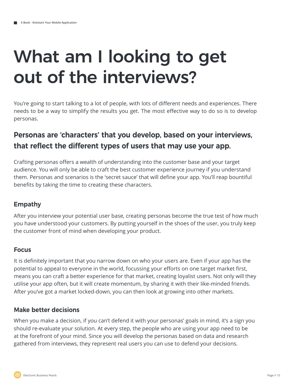## What am I looking to get out of the interviews?

You're going to start talking to a lot of people, with lots of different needs and experiences. There needs to be a way to simplify the results you get. The most effective way to do so is to develop personas.

### **Personas are 'characters' that you develop, based on your interviews, that reflect the different types of users that may use your app.**

Crafting personas offers a wealth of understanding into the customer base and your target audience. You will only be able to craft the best customer experience journey if you understand them. Personas and scenarios is the 'secret sauce' that will define your app. You'll reap bountiful benefits by taking the time to creating these characters.

#### **Empathy**

After you interview your potential user base, creating personas become the true test of how much you have understood your customers. By putting yourself in the shoes of the user, you truly keep the customer front of mind when developing your product.

#### **Focus**

It is definitely important that you narrow down on who your users are. Even if your app has the potential to appeal to everyone in the world, focussing your efforts on one target market first, means you can craft a better experience for that market, creating loyalist users. Not only will they utilise your app often, but it will create momentum, by sharing it with their like-minded friends. After you've got a market locked-down, you can then look at growing into other markets.

#### **Make better decisions**

When you make a decision, if you can't defend it with your personas' goals in mind, it's a sign you should re-evaluate your solution. At every step, the people who are using your app need to be at the forefront of your mind. Since you will develop the personas based on data and research gathered from interviews, they represent real users you can use to defend your decisions.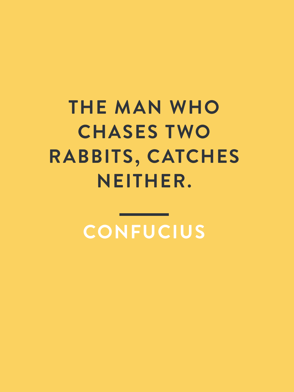# **THE MAN WHO CHASES TWO RABBITS, CATCHES NEITHER.**

**CONFUCIUS**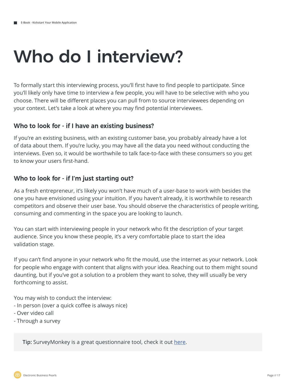## Who do I interview?

To formally start this interviewing process, you'll first have to find people to participate. Since you'll likely only have time to interview a few people, you will have to be selective with who you choose. There will be different places you can pull from to source interviewees depending on your context. Let's take a look at where you may find potential interviewees.

#### **Who to look for - if I have an existing business?**

If you're an existing business, with an existing customer base, you probably already have a lot of data about them. If you're lucky, you may have all the data you need without conducting the interviews. Even so, it would be worthwhile to talk face-to-face with these consumers so you get to know your users first-hand.

#### **Who to look for - if I'm just starting out?**

As a fresh entrepreneur, it's likely you won't have much of a user-base to work with besides the one you have envisioned using your intuition. If you haven't already, it is worthwhile to research competitors and observe their user base. You should observe the characteristics of people writing, consuming and commenting in the space you are looking to launch.

You can start with interviewing people in your network who fit the description of your target audience. Since you know these people, it's a very comfortable place to start the idea validation stage.

If you can't find anyone in your network who fit the mould, use the internet as your network. Look for people who engage with content that aligns with your idea. Reaching out to them might sound daunting, but if you've got a solution to a problem they want to solve, they will usually be very forthcoming to assist.

You may wish to conduct the interview:

- In person (over a quick coffee is always nice)
- Over video call
- Through a survey

**Tip:** SurveyMonkey is a great questionnaire tool, check it out here.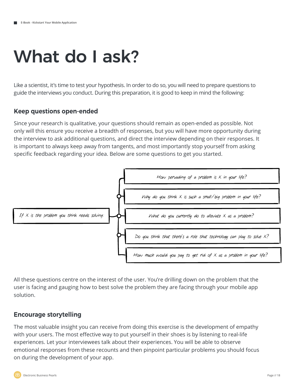### What do I ask?

Like a scientist, it's time to test your hypothesis. In order to do so, you will need to prepare questions to guide the interviews you conduct. During this preparation, it is good to keep in mind the following:

#### **Keep questions open-ended**

Since your research is qualitative, your questions should remain as open-ended as possible. Not only will this ensure you receive a breadth of responses, but you will have more opportunity during the interview to ask additional questions, and direct the interview depending on their responses. It is important to always keep away from tangents, and most importantly stop yourself from asking specific feedback regarding your idea. Below are some questions to get you started.



All these questions centre on the interest of the user. You're drilling down on the problem that the user is facing and gauging how to best solve the problem they are facing through your mobile app solution.

#### **Encourage storytelling**

The most valuable insight you can receive from doing this exercise is the development of empathy with your users. The most effective way to put yourself in their shoes is by listening to real-life experiences. Let your interviewees talk about their experiences. You will be able to observe emotional responses from these recounts and then pinpoint particular problems you should focus on during the development of your app.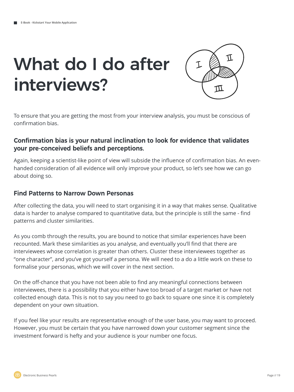## What do I do after interviews?



To ensure that you are getting the most from your interview analysis, you must be conscious of confirmation bias.

#### **Confirmation bias is your natural inclination to look for evidence that validates your pre-conceived beliefs and perceptions.**

Again, keeping a scientist-like point of view will subside the influence of confirmation bias. An evenhanded consideration of all evidence will only improve your product, so let's see how we can go about doing so.

#### **Find Patterns to Narrow Down Personas**

After collecting the data, you will need to start organising it in a way that makes sense. Qualitative data is harder to analyse compared to quantitative data, but the principle is still the same - find patterns and cluster similarities.

As you comb through the results, you are bound to notice that similar experiences have been recounted. Mark these similarities as you analyse, and eventually you'll find that there are interviewees whose correlation is greater than others. Cluster these interviewees together as "one character", and you've got yourself a persona. We will need to a do a little work on these to formalise your personas, which we will cover in the next section.

On the off-chance that you have not been able to find any meaningful connections between interviewees, there is a possibility that you either have too broad of a target market or have not collected enough data. This is not to say you need to go back to square one since it is completely dependent on your own situation.

If you feel like your results are representative enough of the user base, you may want to proceed. However, you must be certain that you have narrowed down your customer segment since the investment forward is hefty and your audience is your number one focus.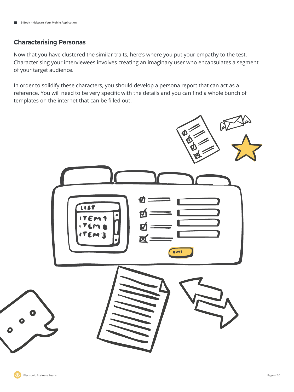#### **Characterising Personas**

Now that you have clustered the similar traits, here's where you put your empathy to the test. Characterising your interviewees involves creating an imaginary user who encapsulates a segment of your target audience.

In order to solidify these characters, you should develop a persona report that can act as a reference. You will need to be very specific with the details and you can find a whole bunch of templates on the internet that can be filled out.

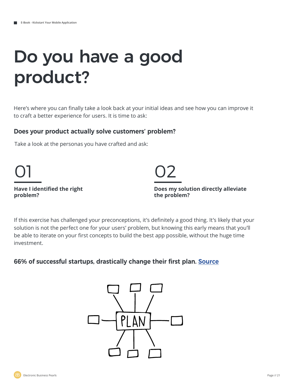### Do you have a good product?

Here's where you can finally take a look back at your initial ideas and see how you can improve it to craft a better experience for users. It is time to ask:

#### **Does your product actually solve customers' problem?**

Take a look at the personas you have crafted and ask:

#### **Have I identified the right problem?**



**Does my solution directly alleviate the problem?**

If this exercise has challenged your preconceptions, it's definitely a good thing. It's likely that your solution is not the perfect one for your users' problem, but knowing this early means that you'll be able to iterate on your first concepts to build the best app possible, without the huge time investment.

#### **66% of successful startups, drastically change their first plan. Source**

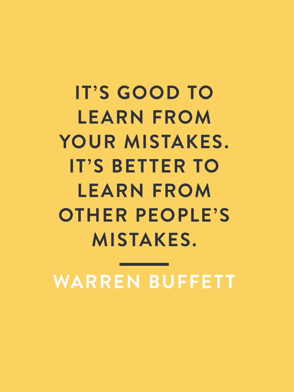**IT'S GOOD TO LEARN FROM YOUR MISTAKES. IT'S BETTER TO LEARN FROM OTHER PEOPLE'S MISTAKES.**

**WARREN BUFFETT**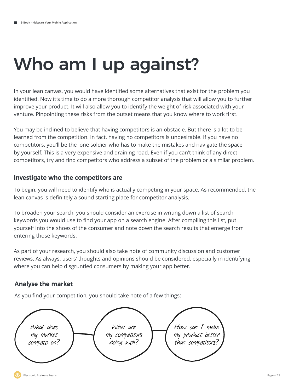## Who am I up against?

In your lean canvas, you would have identified some alternatives that exist for the problem you identified. Now it's time to do a more thorough competitor analysis that will allow you to further improve your product. It will also allow you to identify the weight of risk associated with your venture. Pinpointing these risks from the outset means that you know where to work first.

You may be inclined to believe that having competitors is an obstacle. But there is a lot to be learned from the competition. In fact, having no competitors is undesirable. If you have no competitors, you'll be the lone soldier who has to make the mistakes and navigate the space by yourself. This is a very expensive and draining road. Even if you can't think of any direct competitors, try and find competitors who address a subset of the problem or a similar problem.

#### **Investigate who the competitors are**

To begin, you will need to identify who is actually competing in your space. As recommended, the lean canvas is definitely a sound starting place for competitor analysis.

To broaden your search, you should consider an exercise in writing down a list of search keywords you would use to find your app on a search engine. After compiling this list, put yourself into the shoes of the consumer and note down the search results that emerge from entering those keywords.

As part of your research, you should also take note of community discussion and customer reviews. As always, users' thoughts and opinions should be considered, especially in identifying where you can help disgruntled consumers by making your app better.

#### **Analyse the market**

As you find your competition, you should take note of a few things:

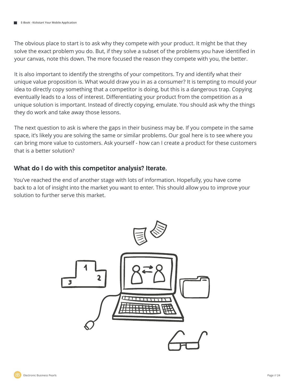The obvious place to start is to ask why they compete with your product. It might be that they solve the exact problem you do. But, if they solve a subset of the problems you have identified in your canvas, note this down. The more focused the reason they compete with you, the better.

It is also important to identify the strengths of your competitors. Try and identify what their unique value proposition is. What would draw you in as a consumer? It is tempting to mould your idea to directly copy something that a competitor is doing, but this is a dangerous trap. Copying eventually leads to a loss of interest. Differentiating your product from the competition as a unique solution is important. Instead of directly copying, emulate. You should ask why the things they do work and take away those lessons.

The next question to ask is where the gaps in their business may be. If you compete in the same space, it's likely you are solving the same or similar problems. Our goal here is to see where you can bring more value to customers. Ask yourself - how can I create a product for these customers that is a better solution?

#### **What do I do with this competitor analysis? Iterate.**

You've reached the end of another stage with lots of information. Hopefully, you have come back to a lot of insight into the market you want to enter. This should allow you to improve your solution to further serve this market.

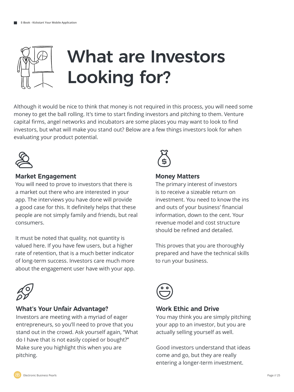

Although it would be nice to think that money is not required in this process, you will need some money to get the ball rolling. It's time to start finding investors and pitching to them. Venture capital firms, angel networks and incubators are some places you may want to look to find investors, but what will make you stand out? Below are a few things investors look for when evaluating your product potential.



#### **Market Engagement**

You will need to prove to investors that there is a market out there who are interested in your app. The interviews you have done will provide a good case for this. It definitely helps that these people are not simply family and friends, but real consumers.

It must be noted that quality, not quantity is valued here. If you have few users, but a higher rate of retention, that is a much better indicator of long-term success. Investors care much more about the engagement user have with your app.



#### **What's Your Unfair Advantage?**

Investors are meeting with a myriad of eager entrepreneurs, so you'll need to prove that you stand out in the crowd. Ask yourself again, "What do I have that is not easily copied or bought?" Make sure you highlight this when you are pitching.



#### **Money Matters**

The primary interest of investors is to receive a sizeable return on investment. You need to know the ins and outs of your business' financial information, down to the cent. Your revenue model and cost structure should be refined and detailed.

This proves that you are thoroughly prepared and have the technical skills to run your business.



#### **Work Ethic and Drive**

You may think you are simply pitching your app to an investor, but you are actually selling yourself as well.

Good investors understand that ideas come and go, but they are really entering a longer-term investment.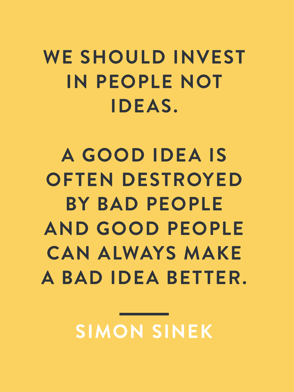WE SHOULD INVEST **IN PEOPLE NOT IDEAS.** 

**A GOOD IDEA IS OFTEN DESTROYED BY BAD PEOPLE AND GOOD PEOPLE CAN ALWAYS MAKE A BAD IDEA BETTER.**

**SIMON SINEK**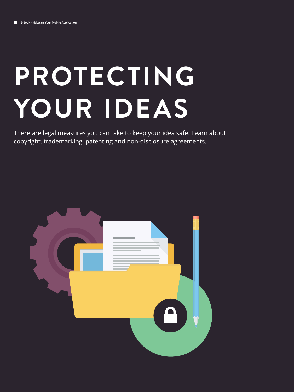# **PROTECTING YOUR IDEAS**

There are legal measures you can take to keep your idea safe. Learn about copyright, trademarking, patenting and non-disclosure agreements.

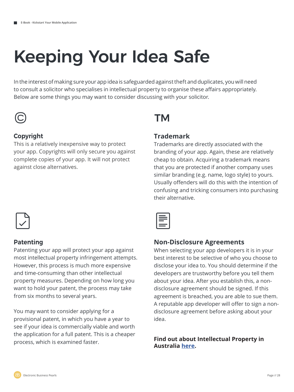# Keeping Your Idea Safe

In the interest of making sure your app idea is safeguarded against theft and duplicates, you will need to consult a solicitor who specialises in intellectual property to organise these affairs appropriately. Below are some things you may want to consider discussing with your solicitor.



#### **Copyright**

This is a relatively inexpensive way to protect your app. Copyrights will only secure you against complete copies of your app. It will not protect against close alternatives.

#### **Trademark**

Trademarks are directly associated with the branding of your app. Again, these are relatively cheap to obtain. Acquiring a trademark means that you are protected if another company uses similar branding (e.g. name, logo style) to yours. Usually offenders will do this with the intention of confusing and tricking consumers into purchasing their alternative.



#### **Patenting**

Patenting your app will protect your app against most intellectual property infringement attempts. However, this process is much more expensive and time-consuming than other intellectual property measures. Depending on how long you want to hold your patent, the process may take from six months to several years.

You may want to consider applying for a provisional patent, in which you have a year to see if your idea is commercially viable and worth the application for a full patent. This is a cheaper process, which is examined faster.

#### **Non-Disclosure Agreements**

When selecting your app developers it is in your best interest to be selective of who you choose to disclose your idea to. You should determine if the developers are trustworthy before you tell them about your idea. After you establish this, a nondisclosure agreement should be signed. If this agreement is breached, you are able to sue them. A reputable app developer will offer to sign a nondisclosure agreement before asking about your idea.

#### **Find out about Intellectual Property in Australia here.**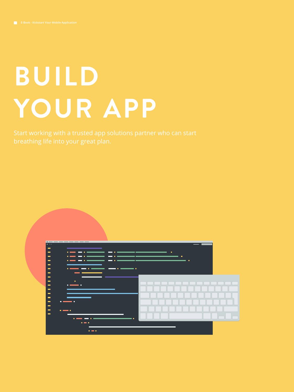# **BUILD YOUR APP**

Start working with a trusted app solutions partner who can start breathing life into your great plan.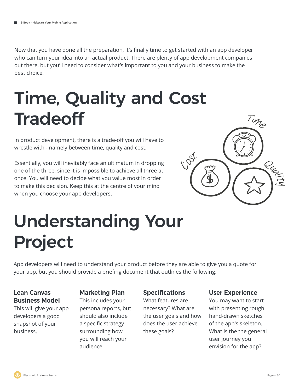Now that you have done all the preparation, it's finally time to get started with an app developer who can turn your idea into an actual product. There are plenty of app development companies out there, but you'll need to consider what's important to you and your business to make the best choice.

## Time, Quality and Cost **Tradeoff**

In product development, there is a trade-off you will have to wrestle with - namely between time, quality and cost.

Essentially, you will inevitably face an ultimatum in dropping one of the three, since it is impossible to achieve all three at once. You will need to decide what you value most in order to make this decision. Keep this at the centre of your mind when you choose your app developers.



# Understanding Your Project

App developers will need to understand your product before they are able to give you a quote for your app, but you should provide a briefing document that outlines the following:

#### **Lean Canvas Business Model**

This will give your app developers a good snapshot of your business.

#### **Marketing Plan**

This includes your persona reports, but should also include a specific strategy surrounding how you will reach your audience.

#### **Specifications**

What features are necessary? What are the user goals and how does the user achieve these goals?

#### **User Experience**

You may want to start with presenting rough hand-drawn sketches of the app's skeleton. What is the the general user journey you envision for the app?

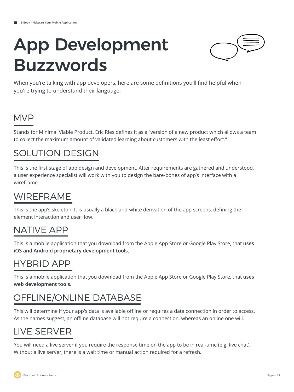## App Development Buzzwords



When you're talking with app developers, here are some definitions you'll find helpful when you're trying to understand their language:

### MVP

Stands for Minimal Viable Product. Eric Ries defines it as a "version of a new product which allows a team to collect the maximum amount of validated learning about customers with the least effort."

### SOLUTION DESIGN

This is the first stage of app design and development. After requirements are gathered and understood, a user experience specialist will work with you to design the bare-bones of app's interface with a wireframe.

### WIREFRAME

This is the app's skeleton. It is usually a black-and-white derivation of the app screens, defining the element interaction and user flow.

### NATIVE APP

This is a mobile application that you download from the Apple App Store or Google Play Store, that **uses iOS and Android proprietary development tools.**

### HYBRID APP

This is a mobile application that you download from the Apple App Store or Google Play Store, that **uses web development tools.** 

### OFFLINE/ONLINE DATABASE

This will determine if your app's data is available offline or requires a data connection in order to access. As the names suggest, an offline database will not require a connection, whereas an online one will.

### LIVE SERVER

You will need a live server if you require the response time on the app to be in real-time (e.g. live chat). Without a live server, there is a wait time or manual action required for a refresh.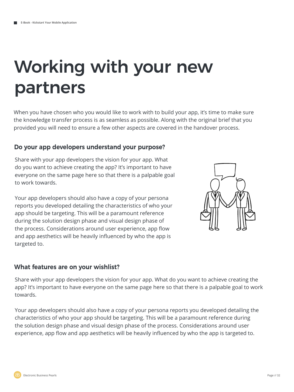### Working with your new partners

When you have chosen who you would like to work with to build your app, it's time to make sure the knowledge transfer process is as seamless as possible. Along with the original brief that you provided you will need to ensure a few other aspects are covered in the handover process.

#### **Do your app developers understand your purpose?**

Share with your app developers the vision for your app. What do you want to achieve creating the app? It's important to have everyone on the same page here so that there is a palpable goal to work towards.

Your app developers should also have a copy of your persona reports you developed detailing the characteristics of who your app should be targeting. This will be a paramount reference during the solution design phase and visual design phase of the process. Considerations around user experience, app flow and app aesthetics will be heavily influenced by who the app is targeted to.



#### **What features are on your wishlist?**

Share with your app developers the vision for your app. What do you want to achieve creating the app? It's important to have everyone on the same page here so that there is a palpable goal to work towards.

Your app developers should also have a copy of your persona reports you developed detailing the characteristics of who your app should be targeting. This will be a paramount reference during the solution design phase and visual design phase of the process. Considerations around user experience, app flow and app aesthetics will be heavily influenced by who the app is targeted to.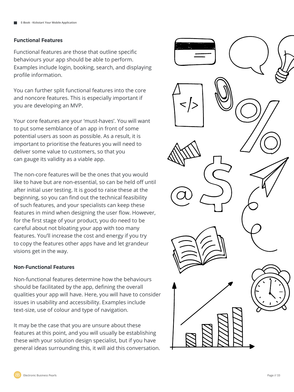#### **Functional Features**

Functional features are those that outline specific behaviours your app should be able to perform. Examples include login, booking, search, and displaying profile information.

You can further split functional features into the core and noncore features. This is especially important if you are developing an MVP.

Your core features are your 'must-haves'. You will want to put some semblance of an app in front of some potential users as soon as possible. As a result, it is important to prioritise the features you will need to deliver some value to customers, so that you can gauge its validity as a viable app.

The non-core features will be the ones that you would like to have but are non-essential, so can be held off until after initial user testing. It is good to raise these at the beginning, so you can find out the technical feasibility of such features, and your specialists can keep these features in mind when designing the user flow. However, for the first stage of your product, you do need to be careful about not bloating your app with too many features. You'll increase the cost and energy if you try to copy the features other apps have and let grandeur visions get in the way.

#### **Non-Functional Features**

Non-functional features determine how the behaviours should be facilitated by the app, defining the overall qualities your app will have. Here, you will have to consider issues in usability and accessibility. Examples include text-size, use of colour and type of navigation.

It may be the case that you are unsure about these features at this point, and you will usually be establishing these with your solution design specialist, but if you have general ideas surrounding this, it will aid this conversation.

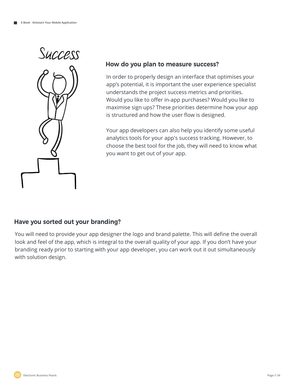

#### **How do you plan to measure success?**

In order to properly design an interface that optimises your app's potential, it is important the user experience specialist understands the project success metrics and priorities. Would you like to offer in-app purchases? Would you like to maximise sign ups? These priorities determine how your app is structured and how the user flow is designed.

Your app developers can also help you identify some useful analytics tools for your app's success tracking. However, to choose the best tool for the job, they will need to know what you want to get out of your app.

#### **Have you sorted out your branding?**

You will need to provide your app designer the logo and brand palette. This will define the overall look and feel of the app, which is integral to the overall quality of your app. If you don't have your branding ready prior to starting with your app developer, you can work out it out simultaneously with solution design.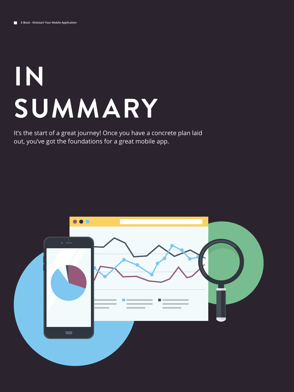# **IN SUMMARY**

It's the start of a great journey! Once you have a concrete plan laid out, you've got the foundations for a great mobile app.

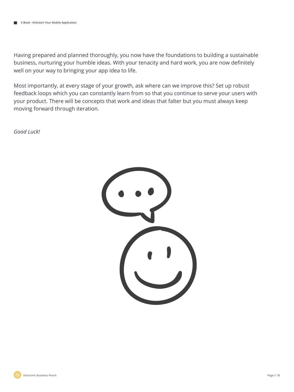Having prepared and planned thoroughly, you now have the foundations to building a sustainable business, nurturing your humble ideas. With your tenacity and hard work, you are now definitely well on your way to bringing your app idea to life.

Most importantly, at every stage of your growth, ask where can we improve this? Set up robust feedback loops which you can constantly learn from so that you continue to serve your users with your product. There will be concepts that work and ideas that falter but you must always keep moving forward through iteration.

*Good Luck!*